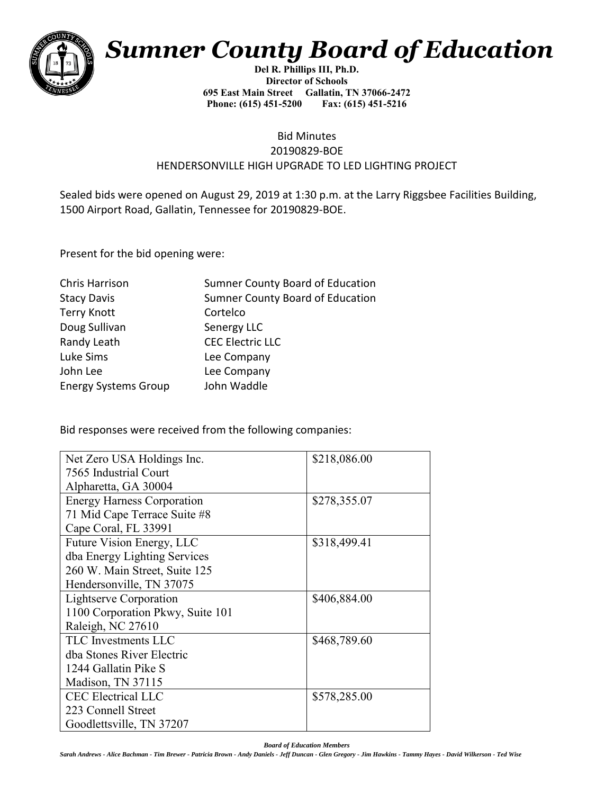

## *Sumner County Board of Education*

**Del R. Phillips III, Ph.D. Director of Schools 695 East Main Street Gallatin, TN 37066-2472 Phone: (615) 451-5200** 

## Bid Minutes 20190829-BOE HENDERSONVILLE HIGH UPGRADE TO LED LIGHTING PROJECT

Sealed bids were opened on August 29, 2019 at 1:30 p.m. at the Larry Riggsbee Facilities Building, 1500 Airport Road, Gallatin, Tennessee for 20190829-BOE.

Present for the bid opening were:

| Sumner County Board of Education |
|----------------------------------|
| Sumner County Board of Education |
| Cortelco                         |
| Senergy LLC                      |
| <b>CEC Electric LLC</b>          |
| Lee Company                      |
| Lee Company                      |
| John Waddle                      |
|                                  |

Bid responses were received from the following companies:

| Net Zero USA Holdings Inc.        | \$218,086.00 |
|-----------------------------------|--------------|
| 7565 Industrial Court             |              |
| Alpharetta, GA 30004              |              |
| <b>Energy Harness Corporation</b> | \$278,355.07 |
| 71 Mid Cape Terrace Suite #8      |              |
| Cape Coral, FL 33991              |              |
| Future Vision Energy, LLC         | \$318,499.41 |
| dba Energy Lighting Services      |              |
| 260 W. Main Street, Suite 125     |              |
| Hendersonville, TN 37075          |              |
| Lightserve Corporation            | \$406,884.00 |
| 1100 Corporation Pkwy, Suite 101  |              |
| Raleigh, NC 27610                 |              |
| TLC Investments LLC               | \$468,789.60 |
| dba Stones River Electric         |              |
| 1244 Gallatin Pike S              |              |
| Madison, TN 37115                 |              |
| <b>CEC Electrical LLC</b>         | \$578,285.00 |
| 223 Connell Street                |              |
| Goodlettsville, TN 37207          |              |

*Board of Education Members*